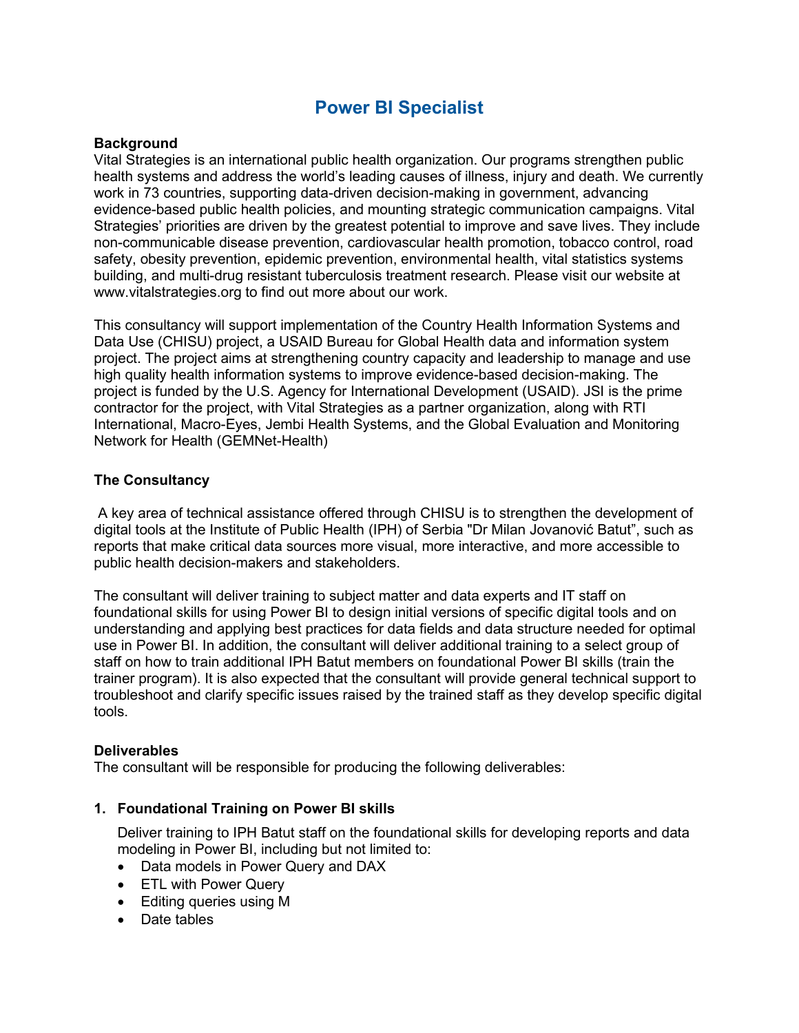# **Power BI Specialist**

# **Background**

Vital Strategies is an international public health organization. Our programs strengthen public health systems and address the world's leading causes of illness, injury and death. We currently work in 73 countries, supporting data-driven decision-making in government, advancing evidence-based public health policies, and mounting strategic communication campaigns. Vital Strategies' priorities are driven by the greatest potential to improve and save lives. They include non-communicable disease prevention, cardiovascular health promotion, tobacco control, road safety, obesity prevention, epidemic prevention, environmental health, vital statistics systems building, and multi-drug resistant tuberculosis treatment research. Please visit our website at www.vitalstrategies.org to find out more about our work.

This consultancy will support implementation of the Country Health Information Systems and Data Use (CHISU) project, a USAID Bureau for Global Health data and information system project. The project aims at strengthening country capacity and leadership to manage and use high quality health information systems to improve evidence-based decision-making. The project is funded by the U.S. Agency for International Development (USAID). JSI is the prime contractor for the project, with Vital Strategies as a partner organization, along with RTI International, Macro-Eyes, Jembi Health Systems, and the Global Evaluation and Monitoring Network for Health (GEMNet-Health)

## **The Consultancy**

A key area of technical assistance offered through CHISU is to strengthen the development of digital tools at the Institute of Public Health (IPH) of Serbia "Dr Milan Jovanović Batut", such as reports that make critical data sources more visual, more interactive, and more accessible to public health decision-makers and stakeholders.

The consultant will deliver training to subject matter and data experts and IT staff on foundational skills for using Power BI to design initial versions of specific digital tools and on understanding and applying best practices for data fields and data structure needed for optimal use in Power BI. In addition, the consultant will deliver additional training to a select group of staff on how to train additional IPH Batut members on foundational Power BI skills (train the trainer program). It is also expected that the consultant will provide general technical support to troubleshoot and clarify specific issues raised by the trained staff as they develop specific digital tools.

#### **Deliverables**

The consultant will be responsible for producing the following deliverables:

#### **1. Foundational Training on Power BI skills**

Deliver training to IPH Batut staff on the foundational skills for developing reports and data modeling in Power BI, including but not limited to:

- Data models in Power Query and DAX
- ETL with Power Query
- Editing queries using M
- Date tables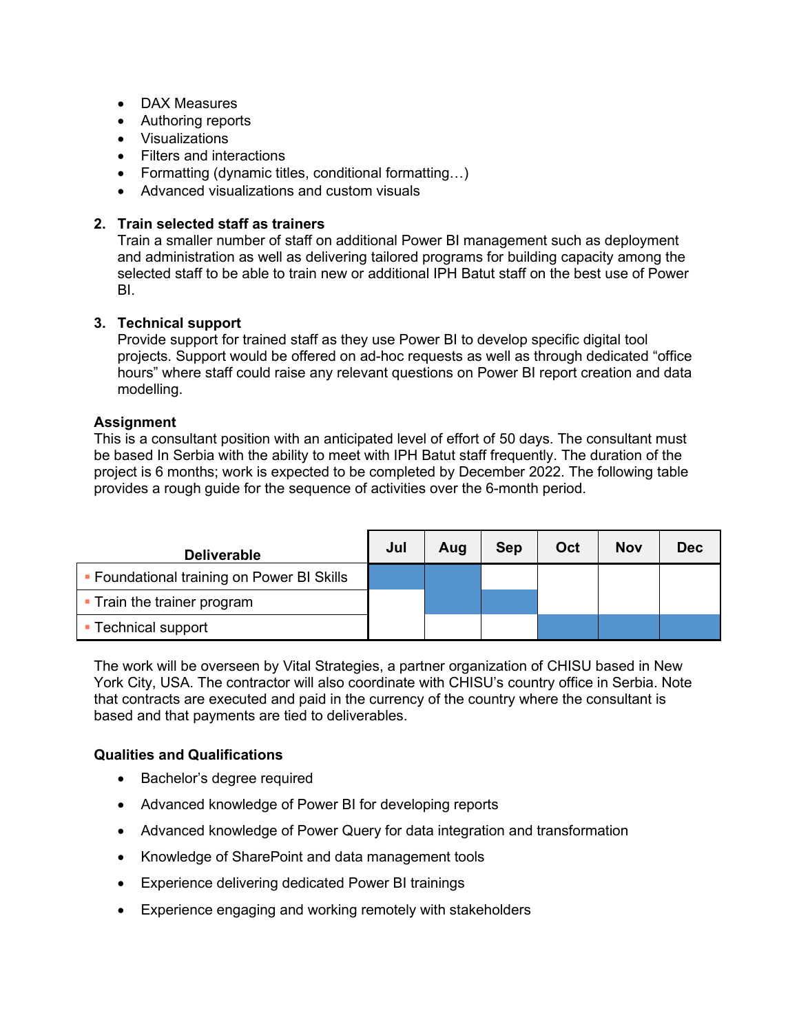- DAX Measures
- Authoring reports
- Visualizations
- Filters and interactions
- Formatting (dynamic titles, conditional formatting…)
- Advanced visualizations and custom visuals

## **2. Train selected staff as trainers**

Train a smaller number of staff on additional Power BI management such as deployment and administration as well as delivering tailored programs for building capacity among the selected staff to be able to train new or additional IPH Batut staff on the best use of Power BI.

#### **3. Technical support**

Provide support for trained staff as they use Power BI to develop specific digital tool projects. Support would be offered on ad-hoc requests as well as through dedicated "office hours" where staff could raise any relevant questions on Power BI report creation and data modelling.

## **Assignment**

This is a consultant position with an anticipated level of effort of 50 days. The consultant must be based In Serbia with the ability to meet with IPH Batut staff frequently. The duration of the project is 6 months; work is expected to be completed by December 2022. The following table provides a rough guide for the sequence of activities over the 6-month period.

| <b>Deliverable</b>                         | Jul | Aug | Sep | Oct | <b>Nov</b> | <b>Dec</b> |
|--------------------------------------------|-----|-----|-----|-----|------------|------------|
| • Foundational training on Power BI Skills |     |     |     |     |            |            |
| • Train the trainer program                |     |     |     |     |            |            |
| <b>Technical support</b>                   |     |     |     |     |            |            |

The work will be overseen by Vital Strategies, a partner organization of CHISU based in New York City, USA. The contractor will also coordinate with CHISU's country office in Serbia. Note that contracts are executed and paid in the currency of the country where the consultant is based and that payments are tied to deliverables.

#### **Qualities and Qualifications**

- Bachelor's degree required
- Advanced knowledge of Power BI for developing reports
- Advanced knowledge of Power Query for data integration and transformation
- Knowledge of SharePoint and data management tools
- Experience delivering dedicated Power BI trainings
- Experience engaging and working remotely with stakeholders